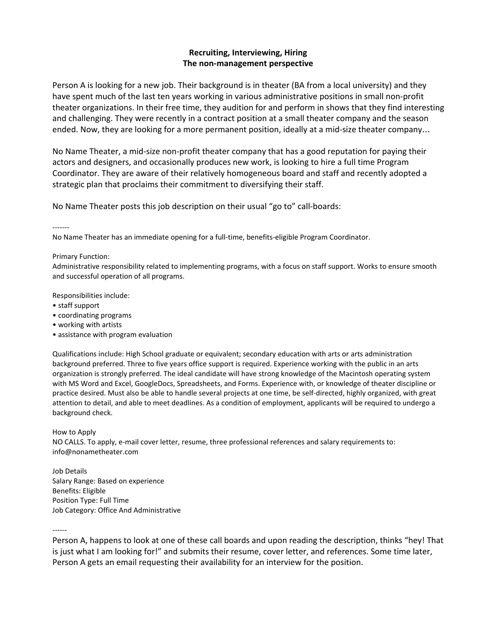## **Recruiting, Interviewing, Hiring The non-management perspective**

Person A is looking for a new job. Their background is in theater (BA from a local university) and they have spent much of the last ten years working in various administrative positions in small non-profit theater organizations. In their free time, they audition for and perform in shows that they find interesting and challenging. They were recently in a contract position at a small theater company and the season ended. Now, they are looking for a more permanent position, ideally at a mid-size theater company…

No Name Theater, a mid-size non-profit theater company that has a good reputation for paying their actors and designers, and occasionally produces new work, is looking to hire a full time Program Coordinator. They are aware of their relatively homogeneous board and staff and recently adopted a strategic plan that proclaims their commitment to diversifying their staff.

No Name Theater posts this job description on their usual "go to" call-boards:

-------

No Name Theater has an immediate opening for a full-time, benefits-eligible Program Coordinator.

## Primary Function:

Administrative responsibility related to implementing programs, with a focus on staff support. Works to ensure smooth and successful operation of all programs.

Responsibilities include:

- staff support
- coordinating programs
- working with artists
- assistance with program evaluation

Qualifications include: High School graduate or equivalent; secondary education with arts or arts administration background preferred. Three to five years office support is required. Experience working with the public in an arts organization is strongly preferred. The ideal candidate will have strong knowledge of the Macintosh operating system with MS Word and Excel, GoogleDocs, Spreadsheets, and Forms. Experience with, or knowledge of theater discipline or practice desired. Must also be able to handle several projects at one time, be self-directed, highly organized, with great attention to detail, and able to meet deadlines. As a condition of employment, applicants will be required to undergo a background check.

How to Apply

NO CALLS. To apply, e-mail cover letter, resume, three professional references and salary requirements to: [info@nonametheater.com](mailto:info@nonametheater.com)

Job Details Salary Range: Based on experience Benefits: Eligible Position Type: Full [Time](http://springboardforthearts.org/position-type/full-time/) [Jo](http://springboardforthearts.org/job-category/office-and-administrative/)b Category: Office And [Administrative](http://springboardforthearts.org/job-category/office-and-administrative/)

------

Person A, happens to look at one of these call boards and upon reading the description, thinks "hey! That is just what I am looking for!" and submits their resume, cover letter, and references. Some time later, Person A gets an email requesting their availability for an interview for the position.